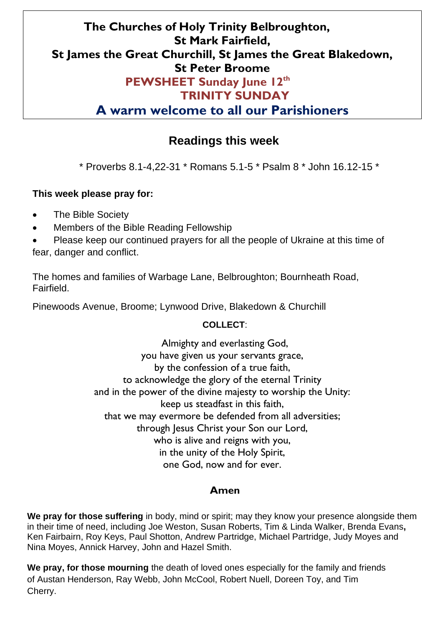## **The Churches of Holy Trinity Belbroughton, St Mark Fairfield, St James the Great Churchill, St James the Great Blakedown, St Peter Broome PEWSHEET Sunday June 12th TRINITY SUNDAY**

**A warm welcome to all our Parishioners** 

## **Readings this week**

\* Proverbs 8.1-4,22-31 \* Romans 5.1-5 \* Psalm 8 \* John 16.12-15 \*

### **This week please pray for:**

- The Bible Society
- Members of the Bible Reading Fellowship

• Please keep our continued prayers for all the people of Ukraine at this time of fear, danger and conflict.

The homes and families of Warbage Lane, Belbroughton; Bournheath Road, Fairfield.

Pinewoods Avenue, Broome; Lynwood Drive, Blakedown & Churchill

### **COLLECT**:

Almighty and everlasting God, you have given us your servants grace, by the confession of a true faith, to acknowledge the glory of the eternal Trinity and in the power of the divine majesty to worship the Unity: keep us steadfast in this faith, that we may evermore be defended from all adversities; through Jesus Christ your Son our Lord, who is alive and reigns with you, in the unity of the Holy Spirit, one God, now and for ever.

### **Amen**

**We pray for those suffering** in body, mind or spirit; may they know your presence alongside them in their time of need, including Joe Weston, Susan Roberts, Tim & Linda Walker, Brenda Evans**,**  Ken Fairbairn, Roy Keys, Paul Shotton, Andrew Partridge, Michael Partridge, Judy Moyes and Nina Moyes, Annick Harvey, John and Hazel Smith.

**We pray, for those mourning** the death of loved ones especially for the family and friends of Austan Henderson, Ray Webb, John McCool, Robert Nuell, Doreen Toy, and Tim Cherry.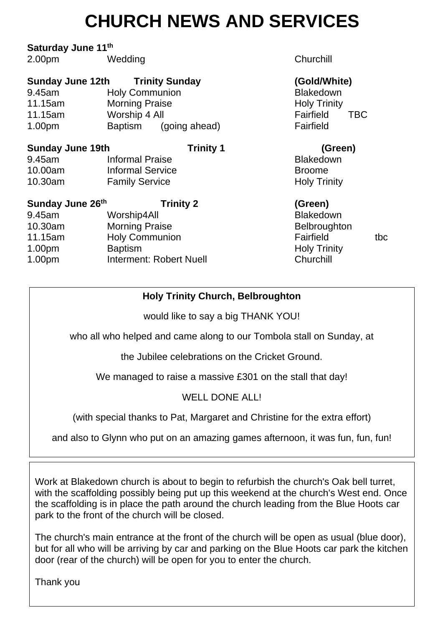# **CHURCH NEWS AND SERVICES**

### **Saturday June 11th**

2.00pm Wedding Churchill

| <b>Sunday June 12th</b><br>9.45am<br>11.15am<br>11.15am<br>1.00 <sub>pm</sub> | <b>Trinity Sunday</b><br><b>Holy Communion</b><br><b>Morning Praise</b><br>Worship 4 All<br>Baptism<br>(going ahead) | (Gold/White)<br><b>Blakedown</b><br><b>Holy Trinity</b><br>Fairfield<br><b>TBC</b><br>Fairfield |
|-------------------------------------------------------------------------------|----------------------------------------------------------------------------------------------------------------------|-------------------------------------------------------------------------------------------------|
| <b>Sunday June 19th</b>                                                       | <b>Trinity 1</b>                                                                                                     | (Green)                                                                                         |
| 9.45am                                                                        | <b>Informal Praise</b>                                                                                               | <b>Blakedown</b>                                                                                |
| 10.00am                                                                       | <b>Informal Service</b>                                                                                              | <b>Broome</b>                                                                                   |
| 10.30am                                                                       | <b>Family Service</b>                                                                                                | <b>Holy Trinity</b>                                                                             |
| Sunday June 26th                                                              | <b>Trinity 2</b>                                                                                                     | (Green)                                                                                         |
| 9.45am                                                                        | Worship4All                                                                                                          | <b>Blakedown</b>                                                                                |
| 10.30am                                                                       | <b>Morning Praise</b>                                                                                                | <b>Belbroughton</b>                                                                             |
| 11.15am                                                                       | <b>Holy Communion</b>                                                                                                | Fairfield<br>tbc                                                                                |
| 1.00 <sub>pm</sub>                                                            | <b>Baptism</b>                                                                                                       | <b>Holy Trinity</b>                                                                             |
| 1.00pm                                                                        | Interment: Robert Nuell                                                                                              | Churchill                                                                                       |

### **Holy Trinity Church, Belbroughton**

would like to say a big THANK YOU!

who all who helped and came along to our Tombola stall on Sunday, at

the Jubilee celebrations on the Cricket Ground.

We managed to raise a massive £301 on the stall that day!

## WELL DONE ALL!

(with special thanks to Pat, Margaret and Christine for the extra effort)

and also to Glynn who put on an amazing games afternoon, it was fun, fun, fun!

Work at Blakedown church is about to begin to refurbish the church's Oak bell turret, with the scaffolding possibly being put up this weekend at the church's West end. Once the scaffolding is in place the path around the church leading from the Blue Hoots car park to the front of the church will be closed.

The church's main entrance at the front of the church will be open as usual (blue door), but for all who will be arriving by car and parking on the Blue Hoots car park the kitchen door (rear of the church) will be open for you to enter the church.

Thank you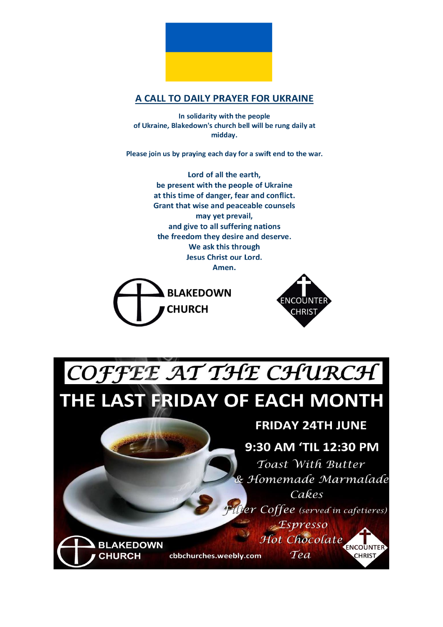

### A CALL TO DAILY PRAYER FOR UKRAINE

In solidarity with the people of Ukraine, Blakedown's church bell will be rung daily at midday.

Please join us by praying each day for a swift end to the war.

Lord of all the earth, be present with the people of Ukraine at this time of danger, fear and conflict. **Grant that wise and peaceable counsels** may yet prevail, and give to all suffering nations the freedom they desire and deserve. We ask this through **Jesus Christ our Lord.** Amen.





COFFEE AT THE CHURCH

THE LAST FRIDAY OF EACH MONTH

## **FRIDAY 24TH JUNE**

## 9:30 AM 'TIL 12:30 PM

Toast With Butter & Homemade Marmalade Cakes

ilter Coffee (served in cafetieres)  $<sub>z</sub>$ *Espresso*</sub> Hot Chocolate

Tea

ENCOUNTER

**CHRIST** 

cbbchurches.weebly.com

**BLAKEDOWN** 

**CHURCH**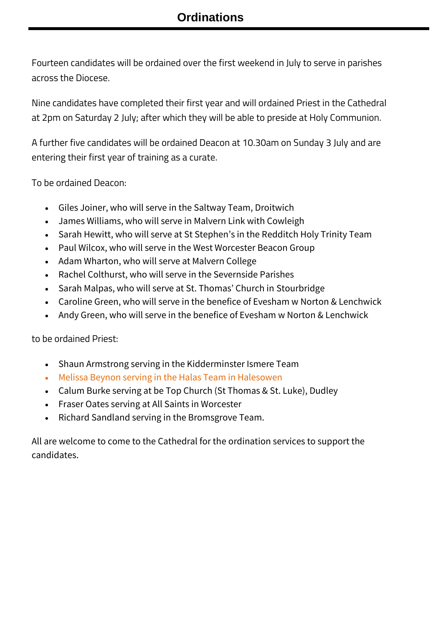Fourteen candidates will be ordained over the first weekend in July to serve in parishes across the Diocese.

Nine candidates have completed their first year and will ordained Priest in the Cathedral at 2pm on Saturday 2 July; after which they will be able to preside at Holy Communion.

A further five candidates will be ordained Deacon at 10.30am on Sunday 3 July and are entering their first year of training as a curate.

To be ordained Deacon:

- Giles Joiner, who will serve in the Saltway Team, Droitwich
- James Williams, who will serve in Malvern Link with Cowleigh
- Sarah Hewitt, who will serve at St Stephen's in the Redditch Holy Trinity Team
- Paul Wilcox, who will serve in the West Worcester Beacon Group
- Adam Wharton, who will serve at Malvern College
- Rachel Colthurst, who will serve in the Severnside Parishes
- Sarah Malpas, who will serve at St. Thomas' Church in Stourbridge
- Caroline Green, who will serve in the benefice of Evesham w Norton & Lenchwick
- Andy Green, who will serve in the benefice of Evesham w Norton & Lenchwick

to be ordained Priest:

- Shaun Armstrong serving in the Kidderminster Ismere Team
- Melissa Beynon serving in the Halas Team in Halesowen
- Calum Burke serving at be Top Church (St Thomas & St. Luke), Dudley
- Fraser Oates serving at All Saints in Worcester
- Richard Sandland serving in the Bromsgrove Team.

All are welcome to come to the Cathedral for the ordination services to support the candidates.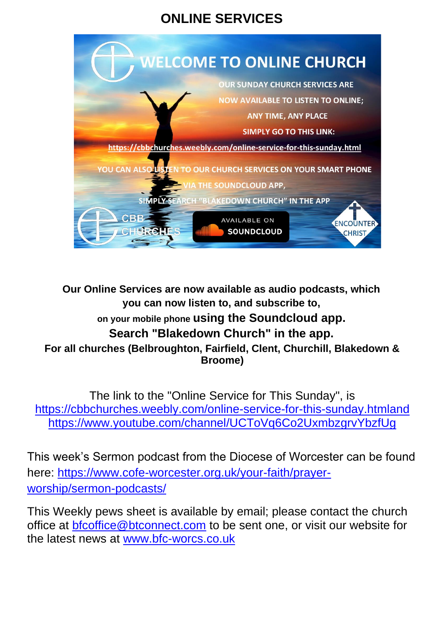## **ONLINE SERVICES**



**Our Online Services are now available as audio podcasts, which you can now listen to, and subscribe to, on your mobile phone using the Soundcloud app. Search "Blakedown Church" in the app. For all churches (Belbroughton, Fairfield, Clent, Churchill, Blakedown & Broome)**

The link to the "Online Service for This Sunday", is [https://cbbchurches.weebly.com/online-service-for-this-sunday.htmla](https://cbbchurches.weebly.com/online-service-for-this-sunday.html)nd <https://www.youtube.com/channel/UCToVq6Co2UxmbzgrvYbzfUg>

This week's Sermon podcast from the Diocese of Worcester can be found here: [https://www.cofe-worcester.org.uk/your-faith/prayer](https://www.cofe-worcester.org.uk/your-faith/prayer-worship/sermon-podcasts/14-after-trinity.php)[worship/sermon-podcasts/](https://www.cofe-worcester.org.uk/your-faith/prayer-worship/sermon-podcasts/14-after-trinity.php)

This Weekly pews sheet is available by email; please contact the church office at [bfcoffice@btconnect.com](mailto:bfcoffice@btconnect.com) to be sent one, or visit our website for the latest news at [www.bfc-worcs.co.uk](http://www.bfc-worcs.co.uk/)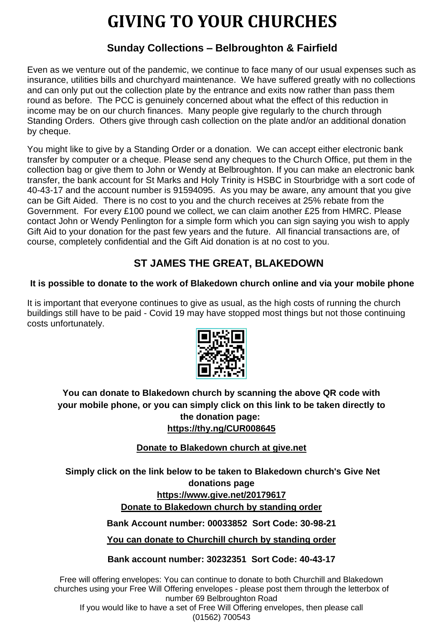## **GIVING TO YOUR CHURCHES**

### **Sunday Collections – Belbroughton & Fairfield**

Even as we venture out of the pandemic, we continue to face many of our usual expenses such as insurance, utilities bills and churchyard maintenance. We have suffered greatly with no collections and can only put out the collection plate by the entrance and exits now rather than pass them round as before. The PCC is genuinely concerned about what the effect of this reduction in income may be on our church finances. Many people give regularly to the church through Standing Orders. Others give through cash collection on the plate and/or an additional donation by cheque.

You might like to give by a Standing Order or a donation. We can accept either electronic bank transfer by computer or a cheque. Please send any cheques to the Church Office, put them in the collection bag or give them to John or Wendy at Belbroughton. If you can make an electronic bank transfer, the bank account for St Marks and Holy Trinity is HSBC in Stourbridge with a sort code of 40-43-17 and the account number is 91594095. As you may be aware, any amount that you give can be Gift Aided. There is no cost to you and the church receives at 25% rebate from the Government. For every £100 pound we collect, we can claim another £25 from HMRC. Please contact John or Wendy Penlington for a simple form which you can sign saying you wish to apply Gift Aid to your donation for the past few years and the future. All financial transactions are, of course, completely confidential and the Gift Aid donation is at no cost to you.

## **ST JAMES THE GREAT, BLAKEDOWN**

### **It is possible to donate to the work of Blakedown church online and via your mobile phone**

It is important that everyone continues to give as usual, as the high costs of running the church buildings still have to be paid - Covid 19 may have stopped most things but not those continuing costs unfortunately.



### **You can donate to Blakedown church by scanning the above QR code with your mobile phone, or you can simply click on this link to be taken directly to the donation page: <https://thy.ng/CUR008645>**

### **Donate to Blakedown church at [give.net](http://give.net/)**

**Simply click on the link below to be taken to Blakedown church's Give Net donations page <https://www.give.net/20179617> Donate to Blakedown church by standing order**

**Bank Account number: 00033852 Sort Code: 30-98-21**

**You can donate to Churchill church by standing order**

**Bank account number: 30232351 Sort Code: 40-43-17**

Free will offering envelopes: You can continue to donate to both Churchill and Blakedown churches using your Free Will Offering envelopes - please post them through the letterbox of number 69 Belbroughton Road

If you would like to have a set of Free Will Offering envelopes, then please call (01562) 700543